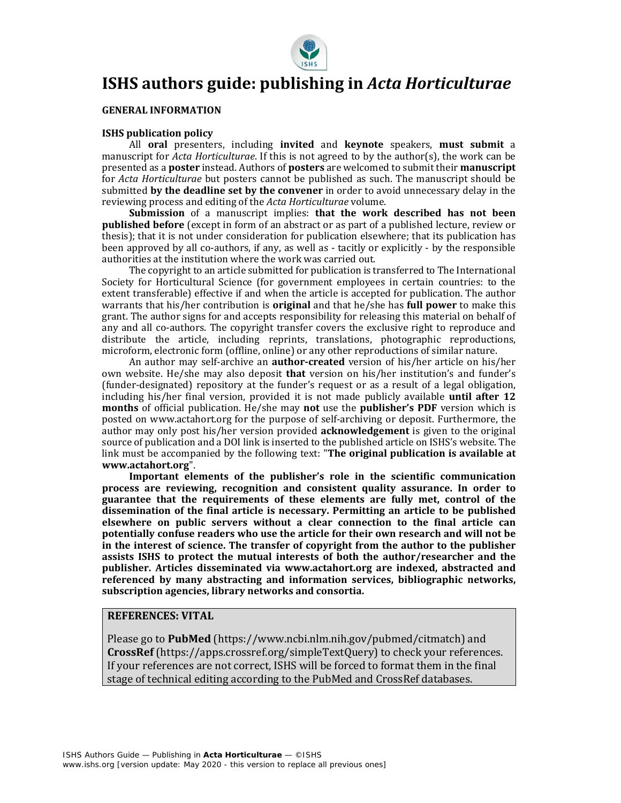

# **ISHS authors guide: publishing in** *Acta Horticulturae*

#### **GENERAL INFORMATION**

# **ISHS publication policy**

All **oral** presenters, including **invited** and **keynote** speakers, **must submit** a manuscript for *Acta Horticulturae*. If this is not agreed to by the author(s), the work can be presented as a **poster** instead. Authors of **posters** are welcomed to submit their **manuscript** for *Acta Horticulturae* but posters cannot be published as such. The manuscript should be submitted **by the deadline set by the convener** in order to avoid unnecessary delay in the reviewing process and editing of the *Acta Horticulturae* volume.

**Submission** of a manuscript implies: **that the work described has not been published before** (except in form of an abstract or as part of a published lecture, review or thesis); that it is not under consideration for publication elsewhere; that its publication has been approved by all co-authors, if any, as well as - tacitly or explicitly - by the responsible authorities at the institution where the work was carried out.

The copyright to an article submitted for publication is transferred to The International Society for Horticultural Science (for government employees in certain countries: to the extent transferable) effective if and when the article is accepted for publication. The author warrants that his/her contribution is **original** and that he/she has **full power** to make this grant. The author signs for and accepts responsibility for releasing this material on behalf of any and all co-authors. The copyright transfer covers the exclusive right to reproduce and distribute the article, including reprints, translations, photographic reproductions, microform, electronic form (offline, online) or any other reproductions of similar nature.

An author may self-archive an **author‐created** version of his/her article on his/her own website. He/she may also deposit **that** version on his/her institution's and funder's (funder-designated) repository at the funder's request or as a result of a legal obligation, including his/her final version, provided it is not made publicly available **until after 12 months** of official publication. He/she may **not** use the **publisher's PDF** version which is posted on www.actahort.org for the purpose of self-archiving or deposit. Furthermore, the author may only post his/her version provided **acknowledgement** is given to the original source of publication and a DOI link is inserted to the published article on ISHS's website. The link must be accompanied by the following text: "**The original publication is available at www.actahort.org**".

**Important elements of the publisher's role in the scientific communication process are reviewing, recognition and consistent quality assurance. In order to guarantee that the requirements of these elements are fully met, control of the dissemination of the final article is necessary. Permitting an article to be published elsewhere on public servers without a clear connection to the final article can potentially confuse readers who use the article for their own research and will not be in the interest of science. The transfer of copyright from the author to the publisher assists ISHS to protect the mutual interests of both the author/researcher and the publisher. Articles disseminated via www.actahort.org are indexed, abstracted and referenced by many abstracting and information services, bibliographic networks, subscription agencies, library networks and consortia.**

# **REFERENCES: VITAL**

Please go to **PubMed** (https://www.ncbi.nlm.nih.gov/pubmed/citmatch) and **CrossRef** (https://apps.crossref.org/simpleTextQuery) to check your references. If your references are not correct, ISHS will be forced to format them in the final stage of technical editing according to the PubMed and CrossRef databases.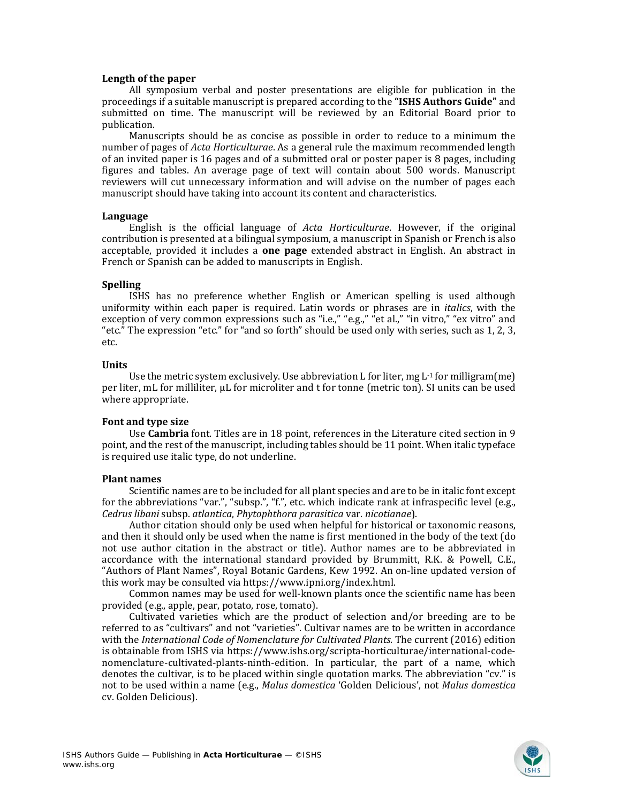## **Length of the paper**

All symposium verbal and poster presentations are eligible for publication in the proceedings if a suitable manuscript is prepared according to the **"ISHS Authors Guide"** and submitted on time. The manuscript will be reviewed by an Editorial Board prior to publication.

Manuscripts should be as concise as possible in order to reduce to a minimum the number of pages of *Acta Horticulturae*. As a general rule the maximum recommended length of an invited paper is 16 pages and of a submitted oral or poster paper is 8 pages, including figures and tables. An average page of text will contain about 500 words. Manuscript reviewers will cut unnecessary information and will advise on the number of pages each manuscript should have taking into account its content and characteristics.

#### **Language**

English is the official language of *Acta Horticulturae*. However, if the original contribution is presented at a bilingual symposium, a manuscript in Spanish or French is also acceptable, provided it includes a **one page** extended abstract in English. An abstract in French or Spanish can be added to manuscripts in English.

# **Spelling**

ISHS has no preference whether English or American spelling is used although uniformity within each paper is required. Latin words or phrases are in *italics*, with the exception of very common expressions such as "i.e.," "e.g.," "et al.," "in vitro," "ex vitro" and "etc." The expression "etc." for "and so forth" should be used only with series, such as 1, 2, 3, etc.

## **Units**

Use the metric system exclusively. Use abbreviation L for liter, mg  $L<sup>-1</sup>$  for milligram(me) per liter, mL for milliliter, µL for microliter and t for tonne (metric ton). SI units can be used where appropriate.

# **Font and type size**

Use **Cambria** font. Titles are in 18 point, references in the Literature cited section in 9 point, and the rest of the manuscript, including tables should be 11 point. When italic typeface is required use italic type, do not underline.

#### **Plant names**

Scientific names are to be included for all plant species and are to be in italic font except for the abbreviations "var.", "subsp.", "f.", etc. which indicate rank at infraspecific level (e.g., *Cedrus libani* subsp. *atlantica*, *Phytophthora parasitica* var. *nicotianae*).

Author citation should only be used when helpful for historical or taxonomic reasons, and then it should only be used when the name is first mentioned in the body of the text (do not use author citation in the abstract or title). Author names are to be abbreviated in accordance with the international standard provided by Brummitt, R.K. & Powell, C.E., "Authors of Plant Names", Royal Botanic Gardens, Kew 1992. An on-line updated version of this work may be consulted via https://www.ipni.org/index.html.

Common names may be used for well-known plants once the scientific name has been provided (e.g., apple, pear, potato, rose, tomato).

Cultivated varieties which are the product of selection and/or breeding are to be referred to as "cultivars" and not "varieties". Cultivar names are to be written in accordance with the *International Code of Nomenclature for Cultivated Plants*. The current (2016) edition is obtainable from ISHS via https://www.ishs.org/scripta-horticulturae/international-codenomenclature-cultivated-plants-ninth-edition. In particular, the part of a name, which denotes the cultivar, is to be placed within single quotation marks. The abbreviation "cv." is not to be used within a name (e.g., *Malus domestica* 'Golden Delicious', not *Malus domestica* cv. Golden Delicious).

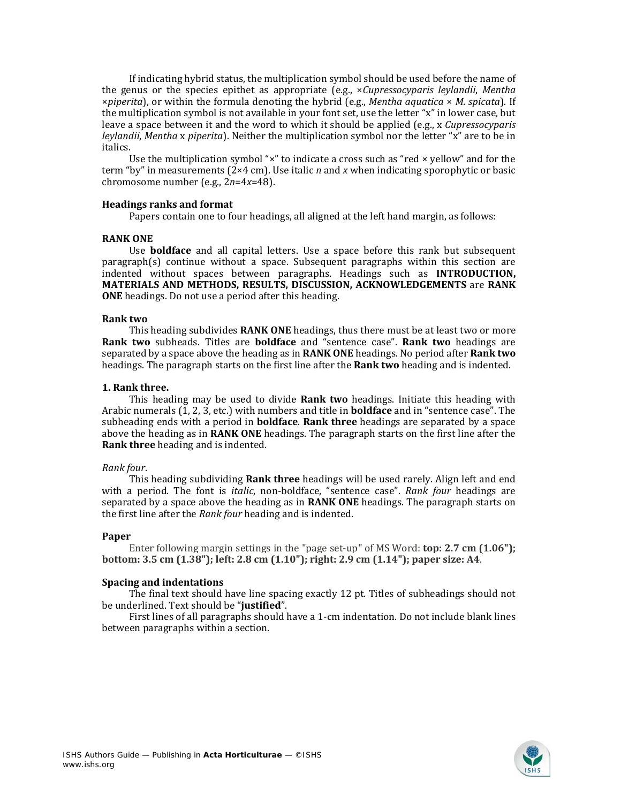If indicating hybrid status, the multiplication symbol should be used before the name of the genus or the species epithet as appropriate (e.g., ×*Cupressocyparis leylandii*, *Mentha* ×*piperita*), or within the formula denoting the hybrid (e.g., *Mentha aquatica* × *M. spicata*). If the multiplication symbol is not available in your font set, use the letter "x" in lower case, but leave a space between it and the word to which it should be applied (e.g., x *Cupressocyparis leylandii*, *Mentha* x *piperita*). Neither the multiplication symbol nor the letter "x" are to be in italics.

Use the multiplication symbol " $\times$ " to indicate a cross such as "red  $\times$  yellow" and for the term "by" in measurements (2×4 cm). Use italic *n* and *x* when indicating sporophytic or basic chromosome number (e.g., 2*n*=4*x*=48).

## **Headings ranks and format**

Papers contain one to four headings, all aligned at the left hand margin, as follows:

## **RANK ONE**

Use **boldface** and all capital letters. Use a space before this rank but subsequent paragraph(s) continue without a space. Subsequent paragraphs within this section are indented without spaces between paragraphs. Headings such as **INTRODUCTION, MATERIALS AND METHODS, RESULTS, DISCUSSION, ACKNOWLEDGEMENTS** are **RANK ONE** headings. Do not use a period after this heading.

#### **Rank two**

This heading subdivides **RANK ONE** headings, thus there must be at least two or more **Rank two** subheads. Titles are **boldface** and "sentence case". **Rank two** headings are separated by a space above the heading as in **RANK ONE** headings. No period after **Rank two** headings. The paragraph starts on the first line after the **Rank two** heading and is indented.

## **1. Rank three.**

This heading may be used to divide **Rank two** headings. Initiate this heading with Arabic numerals (1, 2, 3, etc.) with numbers and title in **boldface** and in "sentence case". The subheading ends with a period in **boldface**. **Rank three** headings are separated by a space above the heading as in **RANK ONE** headings. The paragraph starts on the first line after the **Rank three** heading and is indented.

#### *Rank four*.

This heading subdividing **Rank three** headings will be used rarely. Align left and end with a period. The font is *italic*, non-boldface, "sentence case". *Rank four* headings are separated by a space above the heading as in **RANK ONE** headings. The paragraph starts on the first line after the *Rank four* heading and is indented.

#### **Paper**

Enter following margin settings in the "page set-up" of MS Word: **top: 2.7 cm (1.06"); bottom: 3.5 cm (1.38"); left: 2.8 cm (1.10"); right: 2.9 cm (1.14"); paper size: A4**.

#### **Spacing and indentations**

The final text should have line spacing exactly 12 pt. Titles of subheadings should not be underlined. Text should be "**justified**".

First lines of all paragraphs should have a 1-cm indentation. Do not include blank lines between paragraphs within a section.

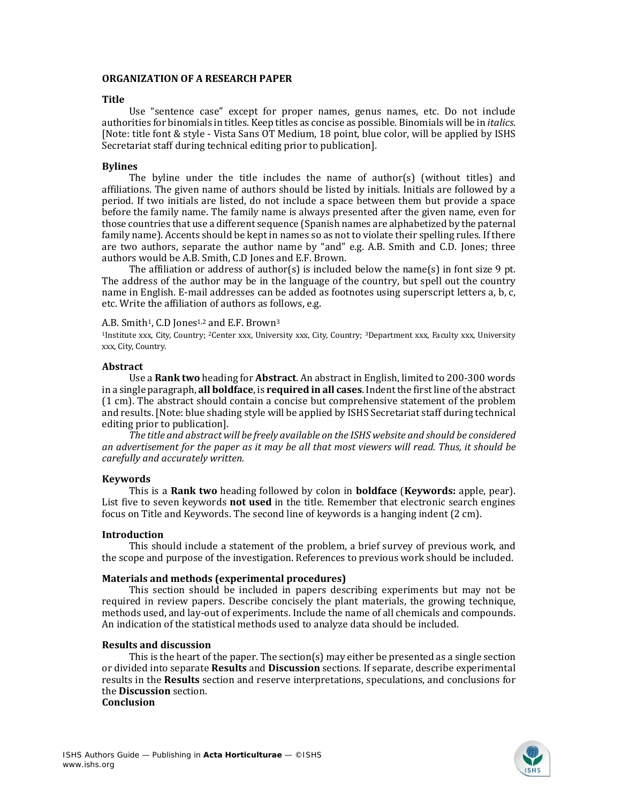#### **ORGANIZATION OF A RESEARCH PAPER**

#### **Title**

Use "sentence case" except for proper names, genus names, etc. Do not include authorities for binomials in titles. Keep titles as concise as possible. Binomials will be in *italics*. [Note: title font & style - Vista Sans OT Medium, 18 point, blue color, will be applied by ISHS Secretariat staff during technical editing prior to publication].

## **Bylines**

The byline under the title includes the name of author(s) (without titles) and affiliations. The given name of authors should be listed by initials. Initials are followed by a period. If two initials are listed, do not include a space between them but provide a space before the family name. The family name is always presented after the given name, even for those countries that use a different sequence (Spanish names are alphabetized by the paternal family name). Accents should be kept in names so as not to violate their spelling rules. If there are two authors, separate the author name by "and" e.g. A.B. Smith and C.D. Jones; three authors would be A.B. Smith, C.D Jones and E.F. Brown.

The affiliation or address of author(s) is included below the name(s) in font size 9 pt. The address of the author may be in the language of the country, but spell out the country name in English. E-mail addresses can be added as footnotes using superscript letters a, b, c, etc. Write the affiliation of authors as follows, e.g.

## A.B. Smith<sup>1</sup>, C.D Jones<sup>1,2</sup> and E.F. Brown<sup>3</sup>

1Institute xxx, City, Country; 2Center xxx, University xxx, City, Country; 3Department xxx, Faculty xxx, University xxx, City, Country.

## **Abstract**

Use a **Rank two** heading for **Abstract**. An abstract in English, limited to 200-300 words in a single paragraph, **all boldface**, is **required in all cases**. Indent the first line of the abstract (1 cm). The abstract should contain a concise but comprehensive statement of the problem and results. [Note: blue shading style will be applied by ISHS Secretariat staff during technical editing prior to publication].

*The title and abstract will be freely available on the ISHS website and should be considered* an advertisement for the paper as it may be all that most viewers will read. Thus, it should be *carefully and accurately written.*

# **Keywords**

This is a **Rank two** heading followed by colon in **boldface** (**Keywords:** apple, pear). List five to seven keywords **not used** in the title. Remember that electronic search engines focus on Title and Keywords. The second line of keywords is a hanging indent (2 cm).

# **Introduction**

This should include a statement of the problem, a brief survey of previous work, and the scope and purpose of the investigation. References to previous work should be included.

# **Materials and methods (experimental procedures)**

This section should be included in papers describing experiments but may not be required in review papers. Describe concisely the plant materials, the growing technique, methods used, and lay-out of experiments. Include the name of all chemicals and compounds. An indication of the statistical methods used to analyze data should be included.

#### **Results and discussion**

This is the heart of the paper. The section(s) may either be presented as a single section or divided into separate **Results** and **Discussion** sections. If separate, describe experimental results in the **Results** section and reserve interpretations, speculations, and conclusions for the **Discussion** section.

**Conclusion**

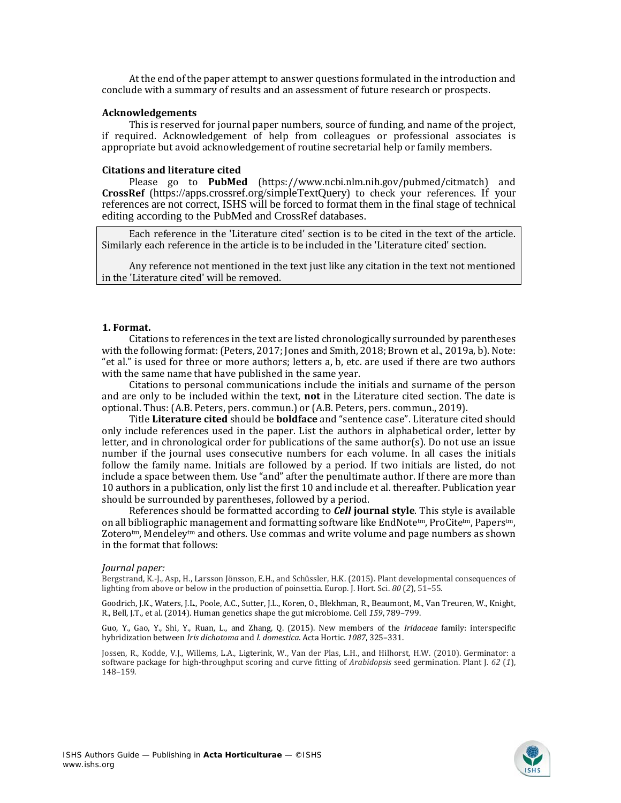At the end of the paper attempt to answer questions formulated in the introduction and conclude with a summary of results and an assessment of future research or prospects.

#### **Acknowledgements**

This is reserved for journal paper numbers, source of funding, and name of the project, if required. Acknowledgement of help from colleagues or professional associates is appropriate but avoid acknowledgement of routine secretarial help or family members.

# **Citations and literature cited**

Please go to **PubMed** (https://www.ncbi.nlm.nih.gov/pubmed/citmatch) and **CrossRef** (https://apps.crossref.org/simpleTextQuery) to check your references. If your references are not correct, ISHS will be forced to format them in the final stage of technical editing according to the PubMed and CrossRef databases.

Each reference in the 'Literature cited' section is to be cited in the text of the article. Similarly each reference in the article is to be included in the 'Literature cited' section.

Any reference not mentioned in the text just like any citation in the text not mentioned in the 'Literature cited' will be removed.

#### **1. Format.**

Citations to references in the text are listed chronologically surrounded by parentheses with the following format: (Peters, 2017; Jones and Smith, 2018; Brown et al., 2019a, b). Note: "et al." is used for three or more authors; letters a, b, etc. are used if there are two authors with the same name that have published in the same year.

Citations to personal communications include the initials and surname of the person and are only to be included within the text, **not** in the Literature cited section. The date is optional. Thus: (A.B. Peters, pers. commun.) or (A.B. Peters, pers. commun., 2019).

Title **Literature cited** should be **boldface** and "sentence case". Literature cited should only include references used in the paper. List the authors in alphabetical order, letter by letter, and in chronological order for publications of the same author(s). Do not use an issue number if the journal uses consecutive numbers for each volume. In all cases the initials follow the family name. Initials are followed by a period. If two initials are listed, do not include a space between them. Use "and" after the penultimate author. If there are more than 10 authors in a publication, only list the first 10 and include et al. thereafter. Publication year should be surrounded by parentheses, followed by a period.

References should be formatted according to *Cell* **journal style**. This style is available on all bibliographic management and formatting software like EndNote<sup>tm</sup>, ProCite<sup>tm</sup>, Papers<sup>tm</sup>, Zoterotm, Mendeleytm and others. Use commas and write volume and page numbers as shown in the format that follows:

#### *Journal paper:*

Bergstrand, K.-J., Asp, H., Larsson Jönsson, E.H., and Schüssler, H.K. (2015). Plant developmental consequences of lighting from above or below in the production of poinsettia. Europ. J. Hort. Sci. *80* (*2*), 51–55.

Goodrich, J.K., Waters, J.L., Poole, A.C., Sutter, J.L., Koren, O., Blekhman, R., Beaumont, M., Van Treuren, W., Knight, R., Bell, J.T., et al. (2014). Human genetics shape the gut microbiome. Cell *159*, 789–799.

Guo, Y., Gao, Y., Shi, Y., Ruan, L., and Zhang, Q. (2015). New members of the *Iridaceae* family: interspecific hybridization between *Iris dichotoma* and *I. domestica*. Acta Hortic. *1087*, 325–331.

Jossen, R., Kodde, V.J., Willems, L.A., Ligterink, W., Van der Plas, L.H., and Hilhorst, H.W. (2010). Germinator: a software package for high-throughput scoring and curve fitting of *Arabidopsis* seed germination. Plant J. *62* (*1*), 148–159.

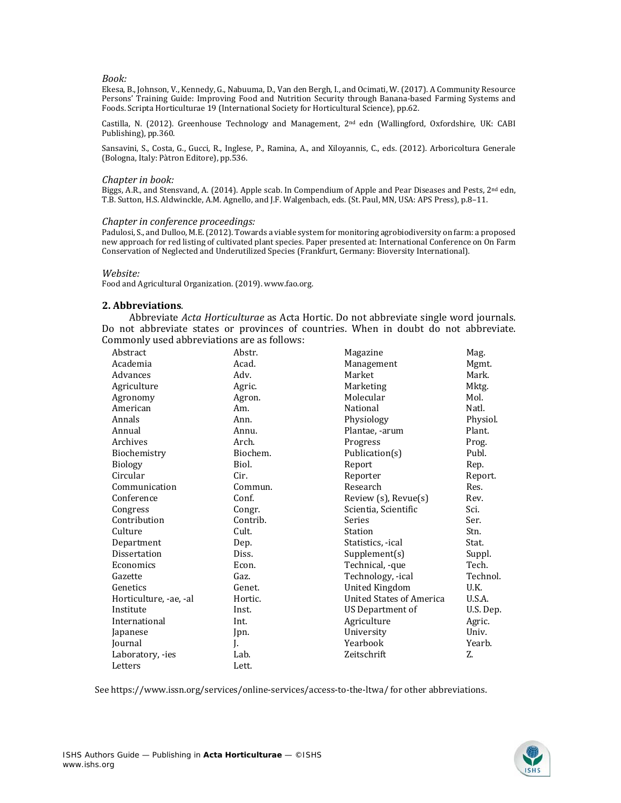#### *Book:*

Ekesa, B., Johnson, V., Kennedy, G., Nabuuma, D., Van den Bergh, I., and Ocimati, W. (2017). A Community Resource Persons' Training Guide: Improving Food and Nutrition Security through Banana-based Farming Systems and Foods. Scripta Horticulturae 19 (International Society for Horticultural Science), pp.62.

Castilla, N. (2012). Greenhouse Technology and Management, 2nd edn (Wallingford, Oxfordshire, UK: CABI Publishing), pp.360.

Sansavini, S., Costa, G., Gucci, R., Inglese, P., Ramina, A., and Xiloyannis, C., eds. (2012). Arboricoltura Generale (Bologna, Italy: Pàtron Editore), pp.536.

#### *Chapter in book:*

Biggs, A.R., and Stensvand, A. (2014). Apple scab. In Compendium of Apple and Pear Diseases and Pests, 2<sup>nd</sup> edn, T.B. Sutton, H.S. Aldwinckle, A.M. Agnello, and J.F. Walgenbach, eds. (St. Paul, MN, USA: APS Press), p.8–11.

#### *Chapter in conference proceedings:*

Padulosi, S., and Dulloo, M.E. (2012). Towards a viable system for monitoring agrobiodiversity on farm: a proposed new approach for red listing of cultivated plant species. Paper presented at: International Conference on On Farm Conservation of Neglected and Underutilized Species (Frankfurt, Germany: Bioversity International).

#### *Website:*

Food and Agricultural Organization. (2019). www.fao.org.

#### **2. Abbreviations**.

Abbreviate *Acta Horticulturae* as Acta Hortic. Do not abbreviate single word journals. Do not abbreviate states or provinces of countries. When in doubt do not abbreviate. Commonly used abbreviations are as follows:

| Abstract               | Abstr.   | Magazine                        | Mag.      |
|------------------------|----------|---------------------------------|-----------|
| Academia               | Acad.    | Management                      | Mgmt.     |
| Advances               | Adv.     | Market                          | Mark.     |
| Agriculture            | Agric.   | Marketing                       | Mktg.     |
| Agronomy               | Agron.   | Molecular                       | Mol.      |
| American               | Am.      | National                        | Natl.     |
| Annals                 | Ann.     | Physiology                      | Physiol.  |
| Annual                 | Annu.    | Plantae, -arum                  | Plant.    |
| Archives               | Arch.    | Progress                        | Prog.     |
| Biochemistry           | Biochem. | Publication(s)                  | Publ.     |
| <b>Biology</b>         | Biol.    | Report                          | Rep.      |
| Circular               | Cir.     | Reporter                        | Report.   |
| Communication          | Commun.  | Research                        | Res.      |
| Conference             | Conf.    | Review (s), Revue(s)            | Rev.      |
| Congress               | Congr.   | Scientia, Scientific            | Sci.      |
| Contribution           | Contrib. | Series                          | Ser.      |
| Culture                | Cult.    | Station                         | Stn.      |
| Department             | Dep.     | Statistics, -ical               | Stat.     |
| <b>Dissertation</b>    | Diss.    | Supplement(s)                   | Suppl.    |
| Economics              | Econ.    | Technical, -que                 | Tech.     |
| Gazette                | Gaz.     | Technology, -ical               | Technol.  |
| Genetics               | Genet.   | <b>United Kingdom</b>           | U.K.      |
| Horticulture, -ae, -al | Hortic.  | <b>United States of America</b> | U.S.A.    |
| Institute              | Inst.    | US Department of                | U.S. Dep. |
| International          | Int.     | Agriculture                     | Agric.    |
| Japanese               | Jpn.     | University                      | Univ.     |
| Journal                | J.       | Yearbook                        | Yearb.    |
| Laboratory, -ies       | Lab.     | Zeitschrift                     | Z.        |
| Letters                | Lett.    |                                 |           |

See https://www.issn.org/services/online-services/access-to-the-ltwa/ for other abbreviations.

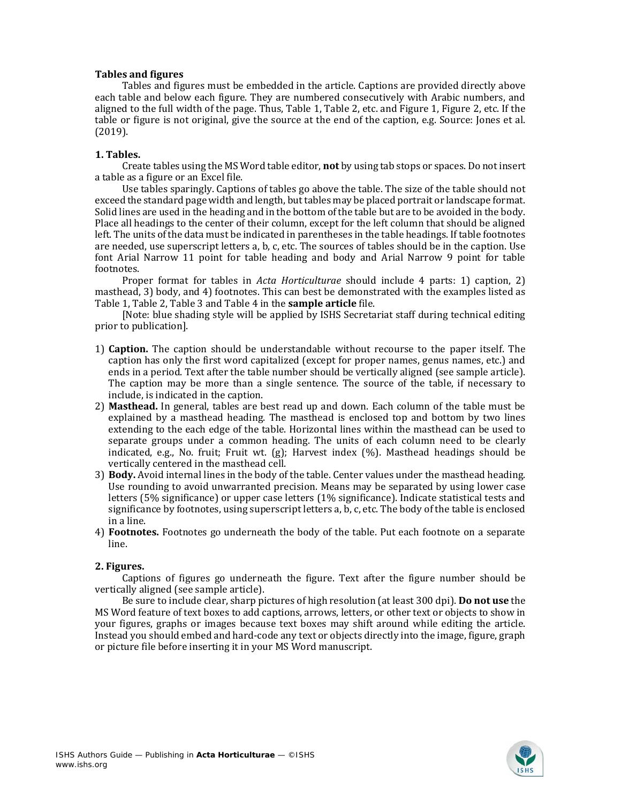# **Tables and figures**

Tables and figures must be embedded in the article. Captions are provided directly above each table and below each figure. They are numbered consecutively with Arabic numbers, and aligned to the full width of the page. Thus, Table 1, Table 2, etc. and Figure 1, Figure 2, etc. If the table or figure is not original, give the source at the end of the caption, e.g. Source: Jones et al. (2019).

# **1. Tables.**

Create tables using the MS Word table editor, **not** by using tab stops or spaces. Do not insert a table as a figure or an Excel file.

Use tables sparingly. Captions of tables go above the table. The size of the table should not exceed the standard page width and length, but tables may be placed portrait or landscape format. Solid lines are used in the heading and in the bottom of the table but are to be avoided in the body. Place all headings to the center of their column, except for the left column that should be aligned left. The units of the data must be indicated in parentheses in the table headings. If table footnotes are needed, use superscript letters a, b, c, etc. The sources of tables should be in the caption. Use font Arial Narrow 11 point for table heading and body and Arial Narrow 9 point for table footnotes.

Proper format for tables in *Acta Horticulturae* should include 4 parts: 1) caption, 2) masthead, 3) body, and 4) footnotes. This can best be demonstrated with the examples listed as Table 1, Table 2, Table 3 and Table 4 in the **sample article** file.

[Note: blue shading style will be applied by ISHS Secretariat staff during technical editing prior to publication].

- 1) **Caption.** The caption should be understandable without recourse to the paper itself. The caption has only the first word capitalized (except for proper names, genus names, etc.) and ends in a period. Text after the table number should be vertically aligned (see sample article). The caption may be more than a single sentence. The source of the table, if necessary to include, is indicated in the caption.
- 2) **Masthead.** In general, tables are best read up and down. Each column of the table must be explained by a masthead heading. The masthead is enclosed top and bottom by two lines extending to the each edge of the table. Horizontal lines within the masthead can be used to separate groups under a common heading. The units of each column need to be clearly indicated, e.g., No. fruit; Fruit wt.  $(g)$ ; Harvest index  $(\%)$ . Masthead headings should be vertically centered in the masthead cell.
- 3) **Body.** Avoid internal lines in the body of the table. Center values under the masthead heading. Use rounding to avoid unwarranted precision. Means may be separated by using lower case letters (5% significance) or upper case letters (1% significance). Indicate statistical tests and significance by footnotes, using superscript letters a, b, c, etc. The body of the table is enclosed in a line.
- 4) **Footnotes.** Footnotes go underneath the body of the table. Put each footnote on a separate line.

# **2. Figures.**

Captions of figures go underneath the figure. Text after the figure number should be vertically aligned (see sample article).

Be sure to include clear, sharp pictures of high resolution (at least 300 dpi). **Do not use** the MS Word feature of text boxes to add captions, arrows, letters, or other text or objects to show in your figures, graphs or images because text boxes may shift around while editing the article. Instead you should embed and hard-code any text or objects directly into the image, figure, graph or picture file before inserting it in your MS Word manuscript.